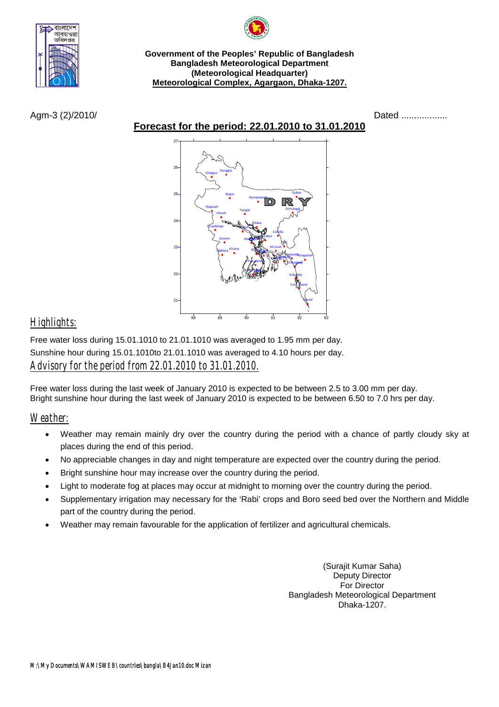

**Government of the Peoples' Republic of Bangladesh Bangladesh Meteorological Department (Meteorological Headquarter) Meteorological Complex, Agargaon, Dhaka-1207.**

**Forecast for the period: 22.01.2010 to 31.01.2010**

Agm-3 (2)/2010/ **Dated .................** 



## *Highlights:*

Free water loss during 15.01.1010 to 21.01.1010 was averaged to 1.95 mm per day. Sunshine hour during 15.01.1010to 21.01.1010 was averaged to 4.10 hours per day. *Advisory for the period from 22.01.2010 to 31.01.2010.*

Free water loss during the last week of January 2010 is expected to be between 2.5 to 3.00 mm per day. Bright sunshine hour during the last week of January 2010 is expected to be between 6.50 to 7.0 hrs per day.

*Weather:* •

- Weather may remain mainly dry over the country during the period with a chance of partly cloudy sky at places during the end of this period.
- No appreciable changes in day and night temperature are expected over the country during the period.
- Bright sunshine hour may increase over the country during the period.
- Light to moderate fog at places may occur at midnight to morning over the country during the period.
- Supplementary irrigation may necessary for the 'Rabi' crops and Boro seed bed over the Northern and Middle part of the country during the period.
- Weather may remain favourable for the application of fertilizer and agricultural chemicals.

(Surajit Kumar Saha) Deputy Director For Director Bangladesh Meteorological Department Dhaka-1207.